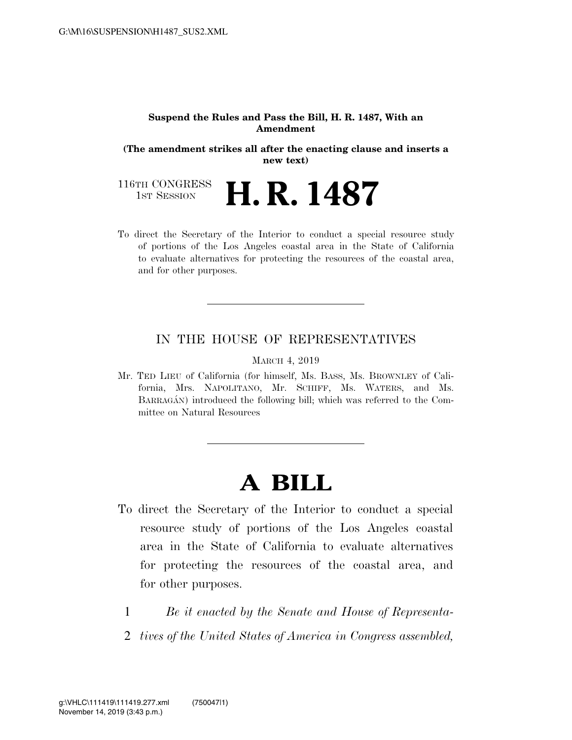#### **Suspend the Rules and Pass the Bill, H. R. 1487, With an Amendment**

**(The amendment strikes all after the enacting clause and inserts a new text)** 

116TH CONGRESS<br>1st Session **H. R. 1487** 

To direct the Secretary of the Interior to conduct a special resource study of portions of the Los Angeles coastal area in the State of California to evaluate alternatives for protecting the resources of the coastal area, and for other purposes.

### IN THE HOUSE OF REPRESENTATIVES

MARCH 4, 2019

Mr. TED LIEU of California (for himself, Ms. BASS, Ms. BROWNLEY of California, Mrs. NAPOLITANO, Mr. SCHIFF, Ms. WATERS, and Ms. BARRAGÁN) introduced the following bill; which was referred to the Committee on Natural Resources

# **A BILL**

- To direct the Secretary of the Interior to conduct a special resource study of portions of the Los Angeles coastal area in the State of California to evaluate alternatives for protecting the resources of the coastal area, and for other purposes.
	- 1 *Be it enacted by the Senate and House of Representa-*
	- 2 *tives of the United States of America in Congress assembled,*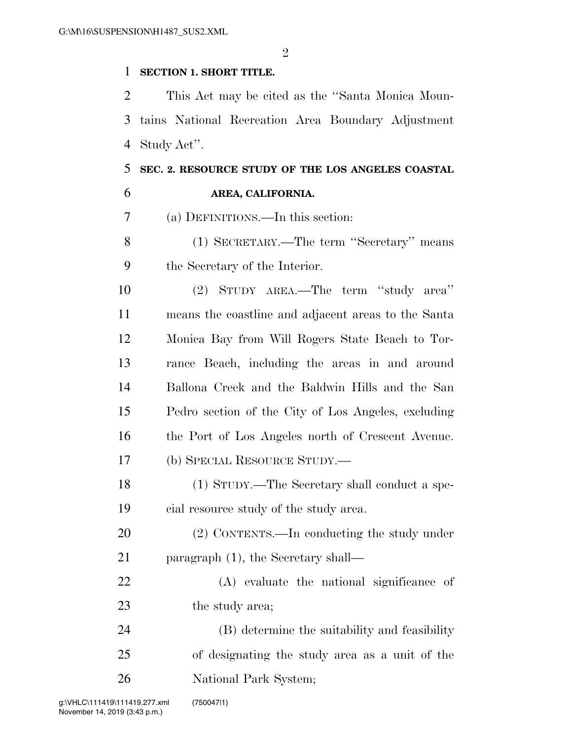$\mathfrak{D}$ 

### **SECTION 1. SHORT TITLE.**

 This Act may be cited as the ''Santa Monica Moun- tains National Recreation Area Boundary Adjustment Study Act''.

## **SEC. 2. RESOURCE STUDY OF THE LOS ANGELES COASTAL AREA, CALIFORNIA.**

(a) DEFINITIONS.—In this section:

 (1) SECRETARY.—The term ''Secretary'' means the Secretary of the Interior.

 (2) STUDY AREA.—The term ''study area'' means the coastline and adjacent areas to the Santa Monica Bay from Will Rogers State Beach to Tor- rance Beach, including the areas in and around Ballona Creek and the Baldwin Hills and the San Pedro section of the City of Los Angeles, excluding the Port of Los Angeles north of Crescent Avenue. (b) SPECIAL RESOURCE STUDY.—

 (1) STUDY.—The Secretary shall conduct a spe-cial resource study of the study area.

 (2) CONTENTS.—In conducting the study under 21 paragraph (1), the Secretary shall—

 (A) evaluate the national significance of 23 the study area;

 (B) determine the suitability and feasibility of designating the study area as a unit of the National Park System;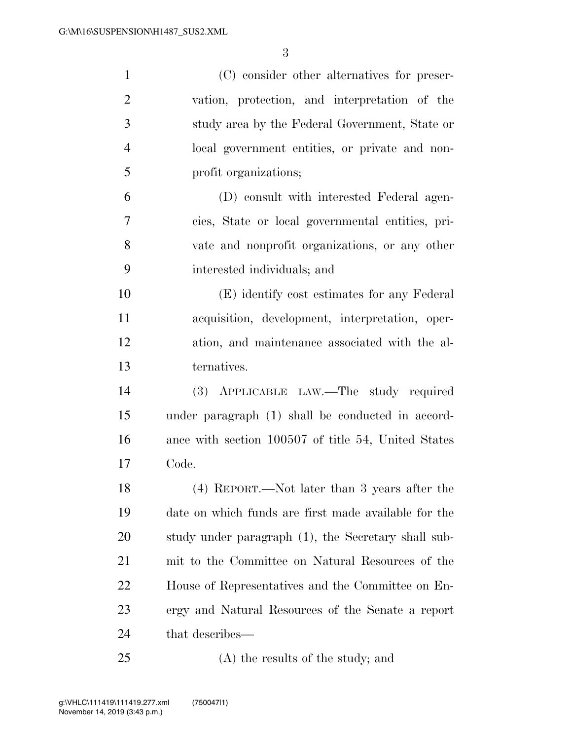| $\mathbf{1}$   | (C) consider other alternatives for preser-          |
|----------------|------------------------------------------------------|
| $\overline{c}$ | vation, protection, and interpretation of the        |
| 3              | study area by the Federal Government, State or       |
| $\overline{4}$ | local government entities, or private and non-       |
| 5              | profit organizations;                                |
| 6              | (D) consult with interested Federal agen-            |
| 7              | cies, State or local governmental entities, pri-     |
| 8              | vate and nonprofit organizations, or any other       |
| 9              | interested individuals; and                          |
| 10             | (E) identify cost estimates for any Federal          |
| 11             | acquisition, development, interpretation, oper-      |
| 12             | ation, and maintenance associated with the al-       |
| 13             | ternatives.                                          |
| 14             | (3) APPLICABLE LAW.—The study required               |
| 15             | under paragraph (1) shall be conducted in accord-    |
| 16             | ance with section 100507 of title 54, United States  |
| 17             | Code.                                                |
| 18             | (4) REPORT.—Not later than 3 years after the         |
| 19             | date on which funds are first made available for the |
| 20             | study under paragraph (1), the Secretary shall sub-  |
| 21             | mit to the Committee on Natural Resources of the     |
| 22             | House of Representatives and the Committee on En-    |
| 23             | ergy and Natural Resources of the Senate a report    |
| 24             | that describes—                                      |
| 25             | (A) the results of the study; and                    |